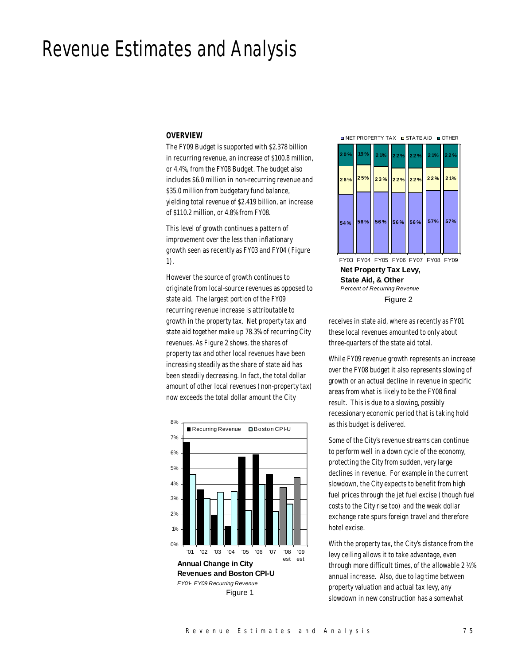# Revenue Estimates and Analysis

#### *OVERVIEW*

The FY09 Budget is supported with \$2.378 billion in recurring revenue, an increase of \$100.8 million, or 4.4%, from the FY08 Budget. The budget also includes \$6.0 million in non-recurring revenue and \$35.0 million from budgetary fund balance, yielding total revenue of \$2.419 billion, an increase of \$110.2 million, or 4.8% from FY08.

This level of growth continues a pattern of improvement over the less than inflationary growth seen as recently as FY03 and FY04 (Figure 1).

However the source of growth continues to originate from local-source revenues as opposed to state aid. The largest portion of the FY09 recurring revenue increase is attributable to growth in the property tax. Net property tax and state aid together make up 78.3% of recurring City revenues. As Figure 2 shows, the shares of property tax and other local revenues have been increasing steadily as the share of state aid has been steadily decreasing. In fact, the total dollar amount of other local revenues (non-property tax) now exceeds the total dollar amount the City



**NET PROPERTY TAX IN STATE AID IN OTHER** 



**Net Property Tax Levy, State Aid, & Other** *Percent of Recurring Revenue* FY03 FY04 FY05 FY06 FY07 FY08 FY09 Figure 2

receives in state aid, where as recently as FY01 these local revenues amounted to only about three-quarters of the state aid total.

While FY09 revenue growth represents an increase over the FY08 budget it also represents slowing of growth or an actual decline in revenue in specific areas from what is likely to be the FY08 final result. This is due to a slowing, possibly recessionary economic period that is taking hold as this budget is delivered.

Some of the City's revenue streams can continue to perform well in a down cycle of the economy, protecting the City from sudden, very large declines in revenue. For example in the current slowdown, the City expects to benefit from high fuel prices through the jet fuel excise (though fuel costs to the City rise too) and the weak dollar exchange rate spurs foreign travel and therefore hotel excise.

With the property tax, the City's distance from the levy ceiling allows it to take advantage, even through more difficult times, of the allowable 2 ½% annual increase. Also, due to lag time between property valuation and actual tax levy, any slowdown in new construction has a somewhat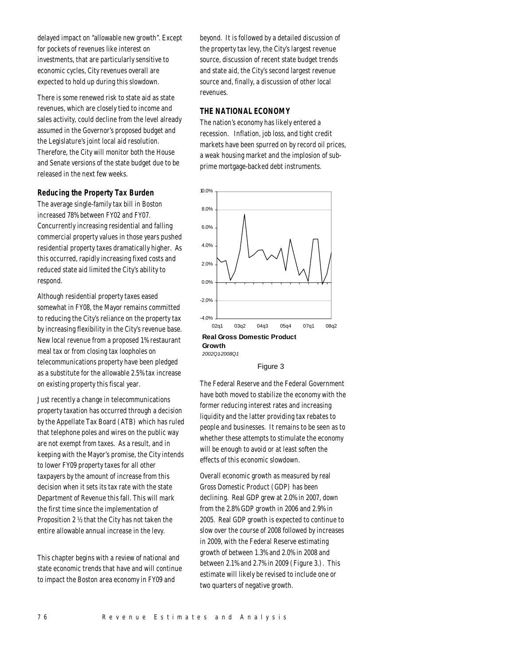delayed impact on "allowable new growth". Except for pockets of revenues like interest on investments, that are particularly sensitive to economic cycles, City revenues overall are expected to hold up during this slowdown.

There is some renewed risk to state aid as state revenues, which are closely tied to income and sales activity, could decline from the level already assumed in the Governor's proposed budget and the Legislature's joint local aid resolution. Therefore, the City will monitor both the House and Senate versions of the state budget due to be released in the next few weeks.

# *Reducing the Property Tax Burden*

The average single-family tax bill in Boston increased 78% between FY02 and FY07. Concurrently increasing residential and falling commercial property values in those years pushed residential property taxes dramatically higher. As this occurred, rapidly increasing fixed costs and reduced state aid limited the City's ability to respond.

Although residential property taxes eased somewhat in FY08, the Mayor remains committed to reducing the City's reliance on the property tax by increasing flexibility in the City's revenue base. New local revenue from a proposed 1% restaurant meal tax or from closing tax loopholes on telecommunications property have been pledged as a substitute for the allowable 2.5% tax increase on existing property this fiscal year.

Just recently a change in telecommunications property taxation has occurred through a decision by the Appellate Tax Board (ATB) which has ruled that telephone poles and wires on the public way are not exempt from taxes. As a result, and in keeping with the Mayor's promise, the City intends to lower FY09 property taxes for all other taxpayers by the amount of increase from this decision when it sets its tax rate with the state Department of Revenue this fall. This will mark the first time since the implementation of Proposition 2 ½ that the City has not taken the entire allowable annual increase in the levy.

This chapter begins with a review of national and state economic trends that have and will continue to impact the Boston area economy in FY09 and

beyond. It is followed by a detailed discussion of the property tax levy, the City's largest revenue source, discussion of recent state budget trends and state aid, the City's second largest revenue source and, finally, a discussion of other local revenues.

# *THE NATIONAL ECONOMY*

The nation's economy has likely entered a recession. Inflation, job loss, and tight credit markets have been spurred on by record oil prices, a weak housing market and the implosion of subprime mortgage-backed debt instruments.



#### Figure 3

The Federal Reserve and the Federal Government have both moved to stabilize the economy with the former reducing interest rates and increasing liquidity and the latter providing tax rebates to people and businesses. It remains to be seen as to whether these attempts to stimulate the economy will be enough to avoid or at least soften the effects of this economic slowdown.

Overall economic growth as measured by real Gross Domestic Product (GDP) has been declining. Real GDP grew at 2.0% in 2007, down from the 2.8% GDP growth in 2006 and 2.9% in 2005. Real GDP growth is expected to continue to slow over the course of 2008 followed by increases in 2009, with the Federal Reserve estimating growth of between 1.3% and 2.0% in 2008 and between 2.1% and 2.7% in 2009 (Figure 3.). This estimate will likely be revised to include one or two quarters of negative growth.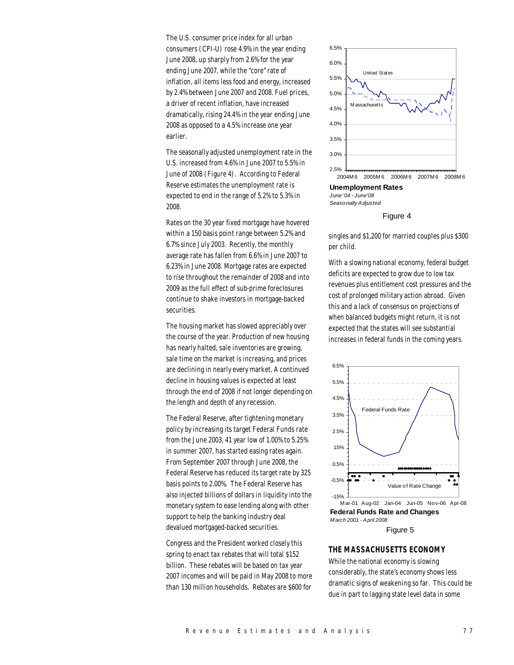The U.S. consumer price index for all urban consumers (CPI-U) rose 4.9% in the year ending June 2008, up sharply from 2.6% for the year ending June 2007, while the "core" rate of inflation, all items less food and energy, increased by 2.4% between June 2007 and 2008. Fuel prices, a driver of recent inflation, have increased dramatically, rising 24.4% in the year ending June 2008 as opposed to a 4.5% increase one year earlier.

The seasonally adjusted unemployment rate in the U.S. increased from 4.6% in June 2007 to 5.5% in June of 2008 (Figure 4). According to Federal Reserve estimates the unemployment rate is expected to end in the range of 5.2% to 5.3% in 2008.

Rates on the 30 year fixed mortgage have hovered within a 150 basis point range between 5.2% and 6.7% since July 2003. Recently, the monthly average rate has fallen from 6.6% in June 2007 to 6.23% in June 2008. Mortgage rates are expected to rise throughout the remainder of 2008 and into 2009 as the full effect of sub-prime foreclosures continue to shake investors in mortgage-backed securities.

The housing market has slowed appreciably over the course of the year. Production of new housing has nearly halted, sale inventories are growing, sale time on the market is increasing, and prices are declining in nearly every market. A continued decline in housing values is expected at least through the end of 2008 if not longer depending on the length and depth of any recession.

The Federal Reserve, after tightening monetary policy by increasing its target Federal Funds rate from the June 2003, 41 year low of 1.00% to 5.25% in summer 2007, has started easing rates again. From September 2007 through June 2008, the Federal Reserve has reduced its target rate by 325 basis points to 2.00%. The Federal Reserve has also injected billions of dollars in liquidity into the monetary system to ease lending along with other support to help the banking industry deal devalued mortgaged-backed securities.

Congress and the President worked closely this spring to enact tax rebates that will total \$152 billion. These rebates will be based on tax year 2007 incomes and will be paid in May 2008 to more than 130 million households. Rebates are \$600 for



**Unemployment Rates**

*June '04 - June'08 Seasonally Adjusted*



singles and \$1,200 for married couples plus \$300 per child.

With a slowing national economy, federal budget deficits are expected to grow due to low tax revenues plus entitlement cost pressures and the cost of prolonged military action abroad. Given this and a lack of consensus on projections of when balanced budgets might return, it is not expected that the states will see substantial increases in federal funds in the coming years.



Figure 5

# *THE MASSACHUSETTS ECONOMY*

While the national economy is slowing considerably, the state's economy shows less dramatic signs of weakening so far. This could be due in part to lagging state level data in some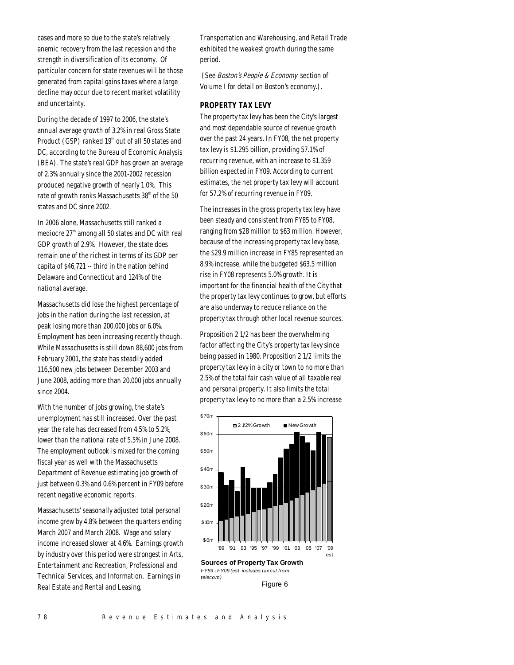cases and more so due to the state's relatively anemic recovery from the last recession and the strength in diversification of its economy. Of particular concern for state revenues will be those generated from capital gains taxes where a large decline may occur due to recent market volatility and uncertainty.

During the decade of 1997 to 2006, the state's annual average growth of 3.2% in real Gross State Product (GSP) ranked  $19<sup>th</sup>$  out of all 50 states and DC, according to the Bureau of Economic Analysis (BEA). The state's real GDP has grown an average of 2.3% annually since the 2001-2002 recession produced negative growth of nearly 1.0%. This rate of growth ranks Massachusetts 38<sup>th</sup> of the 50 states and DC since 2002.

In 2006 alone, Massachusetts still ranked a mediocre  $27<sup>th</sup>$  among all 50 states and DC with real GDP growth of 2.9%. However, the state does remain one of the richest in terms of its GDP per capita of \$46,721 -- third in the nation behind Delaware and Connecticut and 124% of the national average.

Massachusetts did lose the highest percentage of jobs in the nation during the last recession, at peak losing more than 200,000 jobs or 6.0%. Employment has been increasing recently though. While Massachusetts is still down 88,600 jobs from February 2001, the state has steadily added 116,500 new jobs between December 2003 and June 2008, adding more than 20,000 jobs annually since 2004.

With the number of jobs growing, the state's unemployment has still increased. Over the past year the rate has decreased from 4.5% to 5.2%, lower than the national rate of 5.5% in June 2008. The employment outlook is mixed for the coming fiscal year as well with the Massachusetts Department of Revenue estimating job growth of just between 0.3% and 0.6% percent in FY09 before recent negative economic reports.

Massachusetts' seasonally adjusted total personal income grew by 4.8% between the quarters ending March 2007 and March 2008. Wage and salary income increased slower at 4.6%. Earnings growth by industry over this period were strongest in Arts, Entertainment and Recreation, Professional and Technical Services, and Information. Earnings in Real Estate and Rental and Leasing,

Transportation and Warehousing, and Retail Trade exhibited the weakest growth during the same period.

(See *Boston's People & Economy* section of Volume I for detail on Boston's economy.).

# *PROPERTY TAX LEVY*

The property tax levy has been the City's largest and most dependable source of revenue growth over the past 24 years. In FY08, the net property tax levy is \$1.295 billion, providing 57.1% of recurring revenue, with an increase to \$1.359 billion expected in FY09. According to current estimates, the net property tax levy will account for 57.2% of recurring revenue in FY09.

The increases in the gross property tax levy have been steady and consistent from FY85 to FY08, ranging from \$28 million to \$63 million. However, because of the increasing property tax levy base, the \$29.9 million increase in FY85 represented an 8.9% increase, while the budgeted \$63.5 million rise in FY08 represents 5.0% growth. It is important for the financial health of the City that the property tax levy continues to grow, but efforts are also underway to reduce reliance on the property tax through other local revenue sources.

Proposition 2 1/2 has been the overwhelming factor affecting the City's property tax levy since being passed in 1980. Proposition 2 1/2 limits the property tax levy in a city or town to no more than 2.5% of the total fair cash value of all taxable real and personal property. It also limits the total property tax levy to no more than a 2.5% increase



**Sources of Property Tax Growth** *FY89 - FY09 (est. includes tax cut from telecom)*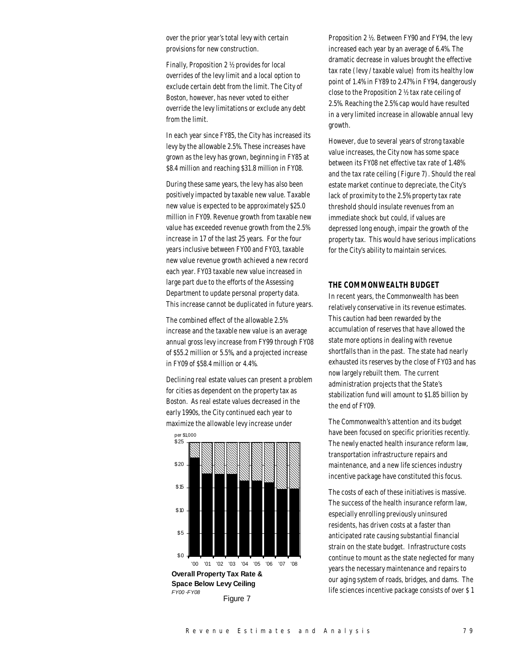over the prior year's total levy with certain provisions for new construction.

Finally, Proposition 2 ½ provides for local overrides of the levy limit and a local option to exclude certain debt from the limit. The City of Boston, however, has never voted to either override the levy limitations or exclude any debt from the limit.

In each year since FY85, the City has increased its levy by the allowable 2.5%. These increases have grown as the levy has grown, beginning in FY85 at \$8.4 million and reaching \$31.8 million in FY08.

During these same years, the levy has also been positively impacted by taxable new value. Taxable new value is expected to be approximately \$25.0 million in FY09. Revenue growth from taxable new value has exceeded revenue growth from the 2.5% increase in 17 of the last 25 years. For the four years inclusive between FY00 and FY03, taxable new value revenue growth achieved a new record each year. FY03 taxable new value increased in large part due to the efforts of the Assessing Department to update personal property data. This increase cannot be duplicated in future years.

The combined effect of the allowable 2.5% increase and the taxable new value is an average annual gross levy increase from FY99 through FY08 of \$55.2 million or 5.5%, and a projected increase in FY09 of \$58.4 million or 4.4%.

Declining real estate values can present a problem for cities as dependent on the property tax as Boston. As real estate values decreased in the early 1990s, the City continued each year to maximize the allowable levy increase under



**Overall Property Tax Rate & Space Below Levy Ceiling** *FY00 -FY08* Figure 7

Proposition 2 ½. Between FY90 and FY94, the levy increased each year by an average of 6.4%. The dramatic decrease in values brought the effective tax rate (levy / taxable value) from its healthy low point of 1.4% in FY89 to 2.47% in FY94, dangerously close to the Proposition 2 ½ tax rate ceiling of 2.5%. Reaching the 2.5% cap would have resulted in a very limited increase in allowable annual levy growth.

However, due to several years of strong taxable value increases, the City now has some space between its FY08 net effective tax rate of 1.48% and the tax rate ceiling (Figure 7). Should the real estate market continue to depreciate, the City's lack of proximity to the 2.5% property tax rate threshold should insulate revenues from an immediate shock but could, if values are depressed long enough, impair the growth of the property tax. This would have serious implications for the City's ability to maintain services.

# *THE COMMONWEALTH BUDGET*

In recent years, the Commonwealth has been relatively conservative in its revenue estimates. This caution had been rewarded by the accumulation of reserves that have allowed the state more options in dealing with revenue shortfalls than in the past. The state had nearly exhausted its reserves by the close of FY03 and has now largely rebuilt them. The current administration projects that the State's stabilization fund will amount to \$1.85 billion by the end of FY09.

The Commonwealth's attention and its budget have been focused on specific priorities recently. The newly enacted health insurance reform law, transportation infrastructure repairs and maintenance, and a new life sciences industry incentive package have constituted this focus.

The costs of each of these initiatives is massive. The success of the health insurance reform law, especially enrolling previously uninsured residents, has driven costs at a faster than anticipated rate causing substantial financial strain on the state budget. Infrastructure costs continue to mount as the state neglected for many years the necessary maintenance and repairs to our aging system of roads, bridges, and dams. The life sciences incentive package consists of over \$ 1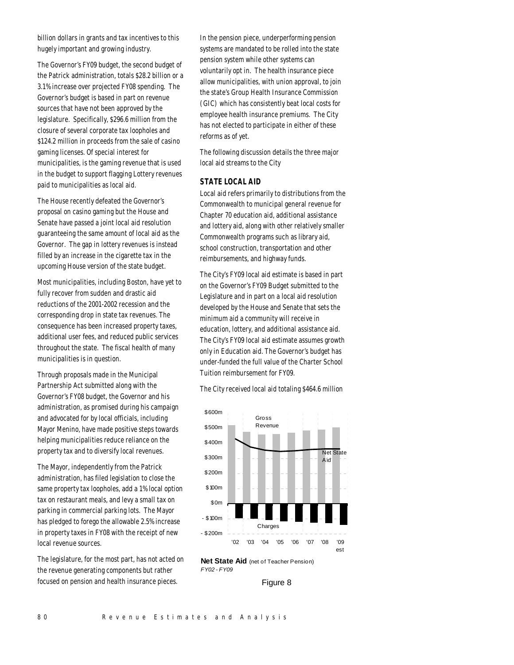billion dollars in grants and tax incentives to this hugely important and growing industry.

The Governor's FY09 budget, the second budget of the Patrick administration, totals \$28.2 billion or a 3.1% increase over projected FY08 spending. The Governor's budget is based in part on revenue sources that have not been approved by the legislature. Specifically, \$296.6 million from the closure of several corporate tax loopholes and \$124.2 million in proceeds from the sale of casino gaming licenses. Of special interest for municipalities, is the gaming revenue that is used in the budget to support flagging Lottery revenues paid to municipalities as local aid.

The House recently defeated the Governor's proposal on casino gaming but the House and Senate have passed a joint local aid resolution guaranteeing the same amount of local aid as the Governor. The gap in lottery revenues is instead filled by an increase in the cigarette tax in the upcoming House version of the state budget.

Most municipalities, including Boston, have yet to fully recover from sudden and drastic aid reductions of the 2001-2002 recession and the corresponding drop in state tax revenues. The consequence has been increased property taxes, additional user fees, and reduced public services throughout the state. The fiscal health of many municipalities is in question.

Through proposals made in the Municipal Partnership Act submitted along with the Governor's FY08 budget, the Governor and his administration, as promised during his campaign and advocated for by local officials, including Mayor Menino, have made positive steps towards helping municipalities reduce reliance on the property tax and to diversify local revenues.

The Mayor, independently from the Patrick administration, has filed legislation to close the same property tax loopholes, add a 1% local option tax on restaurant meals, and levy a small tax on parking in commercial parking lots. The Mayor has pledged to forego the allowable 2.5% increase in property taxes in FY08 with the receipt of new local revenue sources.

The legislature, for the most part, has not acted on the revenue generating components but rather focused on pension and health insurance pieces.

In the pension piece, underperforming pension systems are mandated to be rolled into the state pension system while other systems can voluntarily opt in. The health insurance piece allow municipalities, with union approval, to join the state's Group Health Insurance Commission (GIC) which has consistently beat local costs for employee health insurance premiums. The City has not elected to participate in either of these reforms as of yet.

The following discussion details the three major local aid streams to the City

# *STATE LOCAL AID*

Local aid refers primarily to distributions from the Commonwealth to municipal general revenue for Chapter 70 education aid, additional assistance and lottery aid, along with other relatively smaller Commonwealth programs such as library aid, school construction, transportation and other reimbursements, and highway funds.

The City's FY09 local aid estimate is based in part on the Governor's FY09 Budget submitted to the Legislature and in part on a local aid resolution developed by the House and Senate that sets the minimum aid a community will receive in education, lottery, and additional assistance aid. The City's FY09 local aid estimate assumes growth only in Education aid. The Governor's budget has under-funded the full value of the Charter School Tuition reimbursement for FY09.

The City received local aid totaling \$464.6 million





Figure 8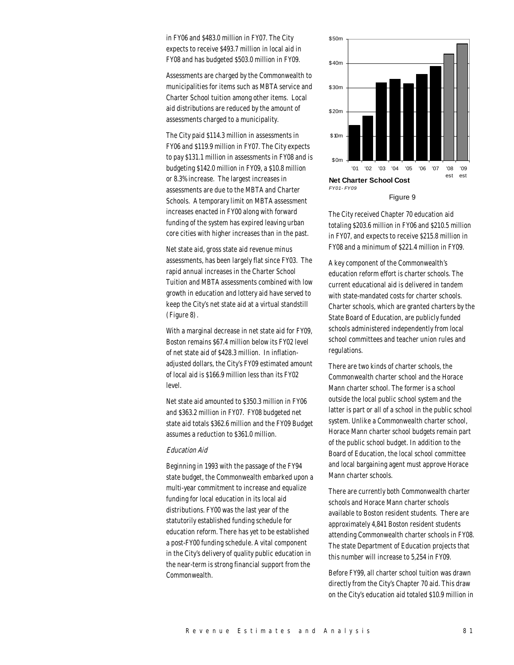in FY06 and \$483.0 million in FY07. The City expects to receive \$493.7 million in local aid in FY08 and has budgeted \$503.0 million in FY09.

Assessments are charged by the Commonwealth to municipalities for items such as MBTA service and Charter School tuition among other items. Local aid distributions are reduced by the amount of assessments charged to a municipality.

The City paid \$114.3 million in assessments in FY06 and \$119.9 million in FY07. The City expects to pay \$131.1 million in assessments in FY08 and is budgeting \$142.0 million in FY09, a \$10.8 million or 8.3% increase. The largest increases in assessments are due to the MBTA and Charter Schools. A temporary limit on MBTA assessment increases enacted in FY00 along with forward funding of the system has expired leaving urban core cities with higher increases than in the past.

Net state aid, gross state aid revenue minus assessments, has been largely flat since FY03. The rapid annual increases in the Charter School Tuition and MBTA assessments combined with low growth in education and lottery aid have served to keep the City's net state aid at a virtual standstill (Figure 8).

With a marginal decrease in net state aid for FY09, Boston remains \$67.4 million below its FY02 level of net state aid of \$428.3 million. In inflationadjusted dollars, the City's FY09 estimated amount of local aid is \$166.9 million less than its FY02 level.

Net state aid amounted to \$350.3 million in FY06 and \$363.2 million in FY07. FY08 budgeted net state aid totals \$362.6 million and the FY09 Budget assumes a reduction to \$361.0 million.

#### Education Aid

Beginning in 1993 with the passage of the FY94 state budget, the Commonwealth embarked upon a multi-year commitment to increase and equalize funding for local education in its local aid distributions. FY00 was the last year of the statutorily established funding schedule for education reform. There has yet to be established a post-FY00 funding schedule. A vital component in the City's delivery of quality public education in the near-term is strong financial support from the Commonwealth.



Figure 9

The City received Chapter 70 education aid totaling \$203.6 million in FY06 and \$210.5 million in FY07, and expects to receive \$215.8 million in FY08 and a minimum of \$221.4 million in FY09.

A key component of the Commonwealth's education reform effort is charter schools. The current educational aid is delivered in tandem with state-mandated costs for charter schools. Charter schools, which are granted charters by the State Board of Education, are publicly funded schools administered independently from local school committees and teacher union rules and regulations.

There are two kinds of charter schools, the Commonwealth charter school and the Horace Mann charter school. The former is a school outside the local public school system and the latter is part or all of a school in the public school system. Unlike a Commonwealth charter school, Horace Mann charter school budgets remain part of the public school budget. In addition to the Board of Education, the local school committee and local bargaining agent must approve Horace Mann charter schools.

There are currently both Commonwealth charter schools and Horace Mann charter schools available to Boston resident students. There are approximately 4,841 Boston resident students attending Commonwealth charter schools in FY08. The state Department of Education projects that this number will increase to 5,254 in FY09.

Before FY99, all charter school tuition was drawn directly from the City's Chapter 70 aid. This draw on the City's education aid totaled \$10.9 million in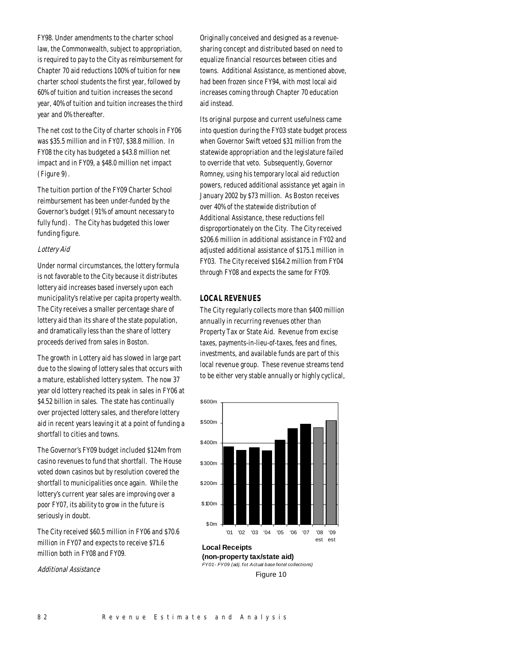FY98. Under amendments to the charter school law, the Commonwealth, subject to appropriation, is required to pay to the City as reimbursement for Chapter 70 aid reductions 100% of tuition for new charter school students the first year, followed by 60% of tuition and tuition increases the second year, 40% of tuition and tuition increases the third year and 0% thereafter.

The net cost to the City of charter schools in FY06 was \$35.5 million and in FY07, \$38.8 million. In FY08 the city has budgeted a \$43.8 million net impact and in FY09, a \$48.0 million net impact (Figure 9).

The tuition portion of the FY09 Charter School reimbursement has been under-funded by the Governor's budget (91% of amount necessary to fully fund). The City has budgeted this lower funding figure.

#### Lottery Aid

Under normal circumstances, the lottery formula is not favorable to the City because it distributes lottery aid increases based inversely upon each municipality's relative per capita property wealth. The City receives a smaller percentage share of lottery aid than its share of the state population, and dramatically less than the share of lottery proceeds derived from sales in Boston.

The growth in Lottery aid has slowed in large part due to the slowing of lottery sales that occurs with a mature, established lottery system. The now 37 year old lottery reached its peak in sales in FY06 at \$4.52 billion in sales. The state has continually over projected lottery sales, and therefore lottery aid in recent years leaving it at a point of funding a shortfall to cities and towns.

The Governor's FY09 budget included \$124m from casino revenues to fund that shortfall. The House voted down casinos but by resolution covered the shortfall to municipalities once again. While the lottery's current year sales are improving over a poor FY07, its ability to grow in the future is seriously in doubt.

The City received \$60.5 million in FY06 and \$70.6 million in FY07 and expects to receive \$71.6 million both in FY08 and FY09.

Additional Assistance

Originally conceived and designed as a revenuesharing concept and distributed based on need to equalize financial resources between cities and towns. Additional Assistance, as mentioned above, had been frozen since FY94, with most local aid increases coming through Chapter 70 education aid instead.

Its original purpose and current usefulness came into question during the FY03 state budget process when Governor Swift vetoed \$31 million from the statewide appropriation and the legislature failed to override that veto. Subsequently, Governor Romney, using his temporary local aid reduction powers, reduced additional assistance yet again in January 2002 by \$73 million. As Boston receives over 40% of the statewide distribution of Additional Assistance, these reductions fell disproportionately on the City. The City received \$206.6 million in additional assistance in FY02 and adjusted additional assistance of \$175.1 million in FY03. The City received \$164.2 million from FY04 through FY08 and expects the same for FY09.

# *LOCAL REVENUES*

The City regularly collects more than \$400 million annually in recurring revenues other than Property Tax or State Aid. Revenue from excise taxes, payments-in-lieu-of-taxes, fees and fines, investments, and available funds are part of this local revenue group. These revenue streams tend to be either very stable annually or highly cyclical,



*FY01 - FY09 (adj. fot Actual base hotel collections)* Figure 10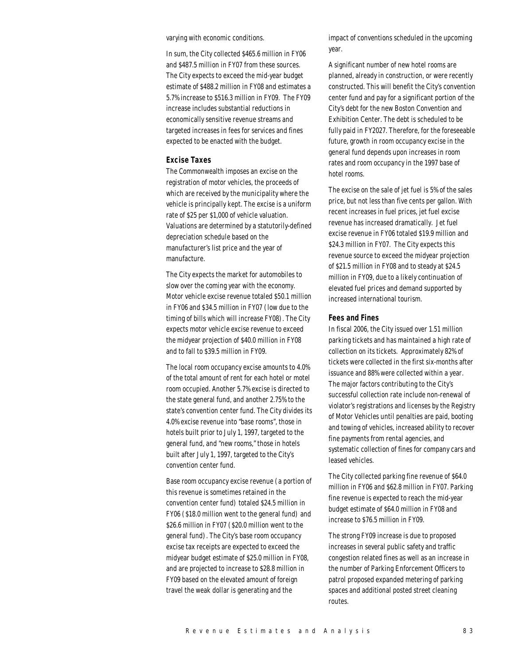varying with economic conditions.

In sum, the City collected \$465.6 million in FY06 and \$487.5 million in FY07 from these sources. The City expects to exceed the mid-year budget estimate of \$488.2 million in FY08 and estimates a 5.7% increase to \$516.3 million in FY09. The FY09 increase includes substantial reductions in economically sensitive revenue streams and targeted increases in fees for services and fines expected to be enacted with the budget.

# *Excise Taxes*

The Commonwealth imposes an excise on the registration of motor vehicles, the proceeds of which are received by the municipality where the vehicle is principally kept. The excise is a uniform rate of \$25 per \$1,000 of vehicle valuation. Valuations are determined by a statutorily-defined depreciation schedule based on the manufacturer's list price and the year of manufacture.

The City expects the market for automobiles to slow over the coming year with the economy. Motor vehicle excise revenue totaled \$50.1 million in FY06 and \$34.5 million in FY07 (low due to the timing of bills which will increase FY08). The City expects motor vehicle excise revenue to exceed the midyear projection of \$40.0 million in FY08 and to fall to \$39.5 million in FY09.

The local room occupancy excise amounts to 4.0% of the total amount of rent for each hotel or motel room occupied. Another 5.7% excise is directed to the state general fund, and another 2.75% to the state's convention center fund. The City divides its 4.0% excise revenue into "base rooms", those in hotels built prior to July 1, 1997, targeted to the general fund, and "new rooms," those in hotels built after July 1, 1997, targeted to the City's convention center fund.

Base room occupancy excise revenue (a portion of this revenue is sometimes retained in the convention center fund) totaled \$24.5 million in FY06 (\$18.0 million went to the general fund) and \$26.6 million in FY07 (\$20.0 million went to the general fund). The City's base room occupancy excise tax receipts are expected to exceed the midyear budget estimate of \$25.0 million in FY08, and are projected to increase to \$28.8 million in FY09 based on the elevated amount of foreign travel the weak dollar is generating and the

impact of conventions scheduled in the upcoming year.

A significant number of new hotel rooms are planned, already in construction, or were recently constructed. This will benefit the City's convention center fund and pay for a significant portion of the City's debt for the new Boston Convention and Exhibition Center. The debt is scheduled to be fully paid in FY2027. Therefore, for the foreseeable future, growth in room occupancy excise in the general fund depends upon increases in room rates and room occupancy in the 1997 base of hotel rooms.

The excise on the sale of jet fuel is 5% of the sales price, but not less than five cents per gallon. With recent increases in fuel prices, jet fuel excise revenue has increased dramatically. Jet fuel excise revenue in FY06 totaled \$19.9 million and \$24.3 million in FY07. The City expects this revenue source to exceed the midyear projection of \$21.5 million in FY08 and to steady at \$24.5 million in FY09, due to a likely continuation of elevated fuel prices and demand supported by increased international tourism.

#### *Fees and Fines*

In fiscal 2006, the City issued over 1.51 million parking tickets and has maintained a high rate of collection on its tickets. Approximately 82% of tickets were collected in the first six-months after issuance and 88% were collected within a year. The major factors contributing to the City's successful collection rate include non-renewal of violator's registrations and licenses by the Registry of Motor Vehicles until penalties are paid, booting and towing of vehicles, increased ability to recover fine payments from rental agencies, and systematic collection of fines for company cars and leased vehicles.

The City collected parking fine revenue of \$64.0 million in FY06 and \$62.8 million in FY07. Parking fine revenue is expected to reach the mid-year budget estimate of \$64.0 million in FY08 and increase to \$76.5 million in FY09.

The strong FY09 increase is due to proposed increases in several public safety and traffic congestion related fines as well as an increase in the number of Parking Enforcement Officers to patrol proposed expanded metering of parking spaces and additional posted street cleaning routes.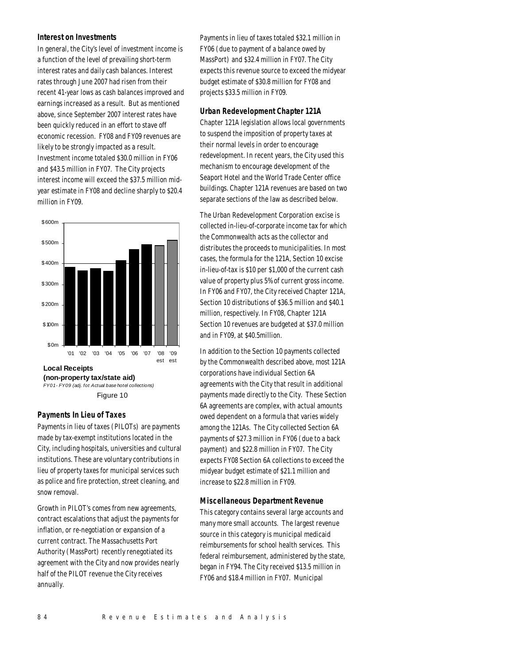#### *Interest on Investments*

In general, the City's level of investment income is a function of the level of prevailing short-term interest rates and daily cash balances. Interest rates through June 2007 had risen from their recent 41-year lows as cash balances improved and earnings increased as a result. But as mentioned above, since September 2007 interest rates have been quickly reduced in an effort to stave off economic recession. FY08 and FY09 revenues are likely to be strongly impacted as a result. Investment income totaled \$30.0 million in FY06 and \$43.5 million in FY07. The City projects interest income will exceed the \$37.5 million midyear estimate in FY08 and decline sharply to \$20.4 million in FY09.





# *Payments In Lieu of Taxes*

Payments in lieu of taxes (PILOTs) are payments made by tax-exempt institutions located in the City, including hospitals, universities and cultural institutions. These are voluntary contributions in lieu of property taxes for municipal services such as police and fire protection, street cleaning, and snow removal.

Growth in PILOT's comes from new agreements, contract escalations that adjust the payments for inflation, or re-negotiation or expansion of a current contract. The Massachusetts Port Authority (MassPort) recently renegotiated its agreement with the City and now provides nearly half of the PILOT revenue the City receives annually.

Payments in lieu of taxes totaled \$32.1 million in FY06 (due to payment of a balance owed by MassPort) and \$32.4 million in FY07. The City expects this revenue source to exceed the midyear budget estimate of \$30.8 million for FY08 and projects \$33.5 million in FY09.

# *Urban Redevelopment Chapter 121A*

Chapter 121A legislation allows local governments to suspend the imposition of property taxes at their normal levels in order to encourage redevelopment. In recent years, the City used this mechanism to encourage development of the Seaport Hotel and the World Trade Center office buildings. Chapter 121A revenues are based on two separate sections of the law as described below.

The Urban Redevelopment Corporation excise is collected in-lieu-of-corporate income tax for which the Commonwealth acts as the collector and distributes the proceeds to municipalities. In most cases, the formula for the 121A, Section 10 excise in-lieu-of-tax is \$10 per \$1,000 of the current cash value of property plus 5% of current gross income. In FY06 and FY07, the City received Chapter 121A, Section 10 distributions of \$36.5 million and \$40.1 million, respectively. In FY08, Chapter 121A Section 10 revenues are budgeted at \$37.0 million and in FY09, at \$40.5million.

In addition to the Section 10 payments collected by the Commonwealth described above, most 121A corporations have individual Section 6A agreements with the City that result in additional payments made directly to the City. These Section 6A agreements are complex, with actual amounts owed dependent on a formula that varies widely among the 121As. The City collected Section 6A payments of \$27.3 million in FY06 (due to a back payment) and \$22.8 million in FY07. The City expects FY08 Section 6A collections to exceed the midyear budget estimate of \$21.1 million and increase to \$22.8 million in FY09.

# *Miscellaneous Department Revenue*

This category contains several large accounts and many more small accounts. The largest revenue source in this category is municipal medicaid reimbursements for school health services. This federal reimbursement, administered by the state, began in FY94. The City received \$13.5 million in FY06 and \$18.4 million in FY07. Municipal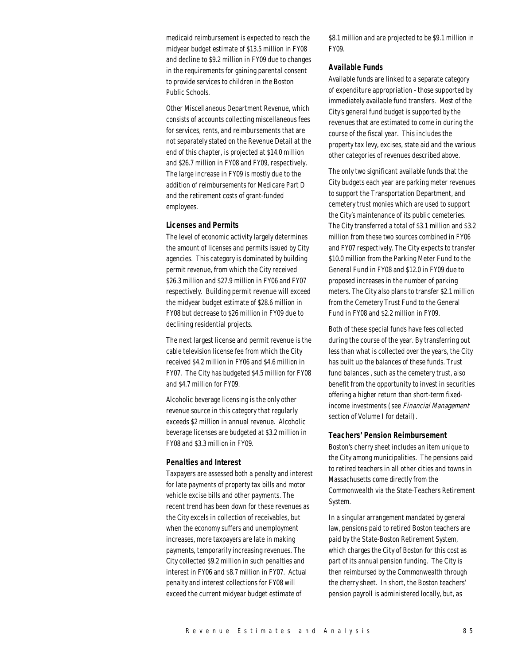medicaid reimbursement is expected to reach the midyear budget estimate of \$13.5 million in FY08 and decline to \$9.2 million in FY09 due to changes in the requirements for gaining parental consent to provide services to children in the Boston Public Schools.

Other Miscellaneous Department Revenue, which consists of accounts collecting miscellaneous fees for services, rents, and reimbursements that are not separately stated on the Revenue Detail at the end of this chapter, is projected at \$14.0 million and \$26.7 million in FY08 and FY09, respectively. The large increase in FY09 is mostly due to the addition of reimbursements for Medicare Part D and the retirement costs of grant-funded employees.

#### *Licenses and Permits*

The level of economic activity largely determines the amount of licenses and permits issued by City agencies. This category is dominated by building permit revenue, from which the City received \$26.3 million and \$27.9 million in FY06 and FY07 respectively. Building permit revenue will exceed the midyear budget estimate of \$28.6 million in FY08 but decrease to \$26 million in FY09 due to declining residential projects.

The next largest license and permit revenue is the cable television license fee from which the City received \$4.2 million in FY06 and \$4.6 million in FY07. The City has budgeted \$4.5 million for FY08 and \$4.7 million for FY09.

Alcoholic beverage licensing is the only other revenue source in this category that regularly exceeds \$2 million in annual revenue. Alcoholic beverage licenses are budgeted at \$3.2 million in FY08 and \$3.3 million in FY09.

#### *Penalties and Interest*

Taxpayers are assessed both a penalty and interest for late payments of property tax bills and motor vehicle excise bills and other payments. The recent trend has been down for these revenues as the City excels in collection of receivables, but when the economy suffers and unemployment increases, more taxpayers are late in making payments, temporarily increasing revenues. The City collected \$9.2 million in such penalties and interest in FY06 and \$8.7 million in FY07. Actual penalty and interest collections for FY08 will exceed the current midyear budget estimate of

\$8.1 million and are projected to be \$9.1 million in FY09.

# *Available Funds*

Available funds are linked to a separate category of expenditure appropriation - those supported by immediately available fund transfers. Most of the City's general fund budget is supported by the revenues that are estimated to come in during the course of the fiscal year. This includes the property tax levy, excises, state aid and the various other categories of revenues described above.

The only two significant available funds that the City budgets each year are parking meter revenues to support the Transportation Department, and cemetery trust monies which are used to support the City's maintenance of its public cemeteries. The City transferred a total of \$3.1 million and \$3.2 million from these two sources combined in FY06 and FY07 respectively. The City expects to transfer \$10.0 million from the Parking Meter Fund to the General Fund in FY08 and \$12.0 in FY09 due to proposed increases in the number of parking meters. The City also plans to transfer \$2.1 million from the Cemetery Trust Fund to the General Fund in FY08 and \$2.2 million in FY09.

Both of these special funds have fees collected during the course of the year. By transferring out less than what is collected over the years, the City has built up the balances of these funds. Trust fund balances , such as the cemetery trust, also benefit from the opportunity to invest in securities offering a higher return than short-term fixedincome investments (see Financial Management section of Volume I for detail).

#### *Teachers' Pension Reimbursement*

Boston's cherry sheet includes an item unique to the City among municipalities. The pensions paid to retired teachers in all other cities and towns in Massachusetts come directly from the Commonwealth via the State-Teachers Retirement System.

In a singular arrangement mandated by general law, pensions paid to retired Boston teachers are paid by the State-Boston Retirement System, which charges the City of Boston for this cost as part of its annual pension funding. The City is then reimbursed by the Commonwealth through the cherry sheet. In short, the Boston teachers' pension payroll is administered locally, but, as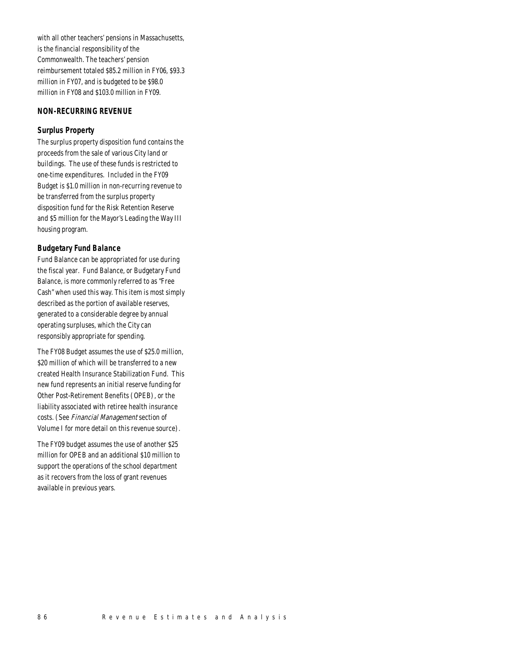with all other teachers' pensions in Massachusetts, is the financial responsibility of the Commonwealth. The teachers' pension reimbursement totaled \$85.2 million in FY06, \$93.3 million in FY07, and is budgeted to be \$98.0 million in FY08 and \$103.0 million in FY09.

# *NON-RECURRING REVENUE*

# *Surplus Property*

The surplus property disposition fund contains the proceeds from the sale of various City land or buildings. The use of these funds is restricted to one-time expenditures. Included in the FY09 Budget is \$1.0 million in non-recurring revenue to be transferred from the surplus property disposition fund for the Risk Retention Reserve and \$5 million for the Mayor's Leading the Way III housing program.

#### *Budgetary Fund Balance*

Fund Balance can be appropriated for use during the fiscal year. Fund Balance, or Budgetary Fund Balance, is more commonly referred to as "Free Cash" when used this way. This item is most simply described as the portion of available reserves, generated to a considerable degree by annual operating surpluses, which the City can responsibly appropriate for spending.

The FY08 Budget assumes the use of \$25.0 million, \$20 million of which will be transferred to a new created Health Insurance Stabilization Fund. This new fund represents an initial reserve funding for Other Post-Retirement Benefits (OPEB), or the liability associated with retiree health insurance costs. (See Financial Management section of Volume I for more detail on this revenue source).

The FY09 budget assumes the use of another \$25 million for OPEB and an additional \$10 million to support the operations of the school department as it recovers from the loss of grant revenues available in previous years.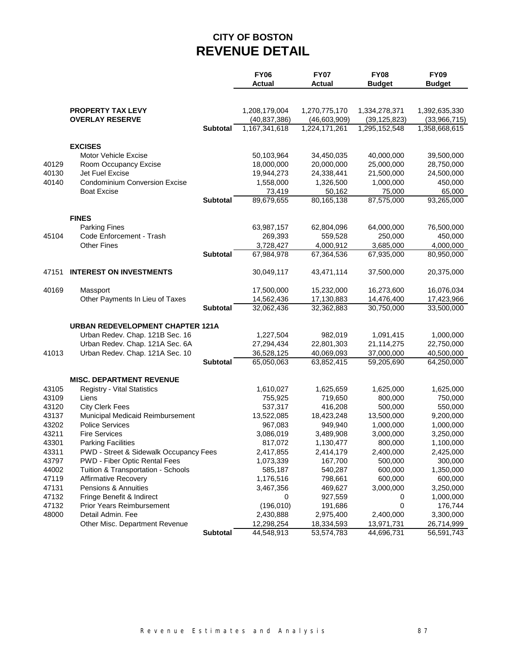# **CITY OF BOSTON REVENUE DETAIL**

|       |                                         |                 | <b>FY06</b>    | <b>FY07</b>   | <b>FY08</b>    | <b>FY09</b>   |
|-------|-----------------------------------------|-----------------|----------------|---------------|----------------|---------------|
|       |                                         |                 | <b>Actual</b>  | Actual        | <b>Budget</b>  | <b>Budget</b> |
|       |                                         |                 |                |               |                |               |
|       | <b>PROPERTY TAX LEVY</b>                |                 | 1,208,179,004  | 1,270,775,170 | 1,334,278,371  | 1,392,635,330 |
|       | <b>OVERLAY RESERVE</b>                  |                 | (40, 837, 386) | (46,603,909)  | (39, 125, 823) | (33,966,715)  |
|       |                                         | <b>Subtotal</b> | 1,167,341,618  | 1,224,171,261 | 1,295,152,548  | 1,358,668,615 |
|       | <b>EXCISES</b>                          |                 |                |               |                |               |
|       | Motor Vehicle Excise                    |                 | 50,103,964     | 34,450,035    | 40,000,000     | 39,500,000    |
| 40129 | Room Occupancy Excise                   |                 | 18,000,000     | 20,000,000    | 25,000,000     | 28,750,000    |
| 40130 | Jet Fuel Excise                         |                 | 19,944,273     | 24,338,441    | 21,500,000     | 24,500,000    |
| 40140 | <b>Condominium Conversion Excise</b>    |                 | 1,558,000      | 1,326,500     | 1,000,000      | 450,000       |
|       | <b>Boat Excise</b>                      |                 | 73,419         | 50,162        | 75,000         | 65,000        |
|       |                                         | <b>Subtotal</b> | 89,679,655     | 80,165,138    | 87,575,000     | 93,265,000    |
|       | <b>FINES</b>                            |                 |                |               |                |               |
|       | <b>Parking Fines</b>                    |                 | 63,987,157     | 62,804,096    | 64,000,000     | 76,500,000    |
| 45104 | Code Enforcement - Trash                |                 | 269,393        | 559,528       | 250,000        | 450,000       |
|       | <b>Other Fines</b>                      |                 | 3,728,427      | 4,000,912     | 3,685,000      | 4,000,000     |
|       |                                         | <b>Subtotal</b> | 67,984,978     | 67,364,536    | 67,935,000     | 80,950,000    |
| 47151 | <b>INTEREST ON INVESTMENTS</b>          |                 | 30,049,117     | 43,471,114    | 37,500,000     | 20,375,000    |
|       |                                         |                 |                |               |                |               |
| 40169 | Massport                                |                 | 17,500,000     | 15,232,000    | 16,273,600     | 16,076,034    |
|       | Other Payments In Lieu of Taxes         |                 | 14,562,436     | 17,130,883    | 14,476,400     | 17,423,966    |
|       |                                         | <b>Subtotal</b> | 32,062,436     | 32,362,883    | 30,750,000     | 33,500,000    |
|       | <b>URBAN REDEVELOPMENT CHAPTER 121A</b> |                 |                |               |                |               |
|       | Urban Redev. Chap. 121B Sec. 16         |                 | 1,227,504      | 982,019       | 1,091,415      | 1,000,000     |
|       | Urban Redev. Chap. 121A Sec. 6A         |                 | 27,294,434     | 22,801,303    | 21,114,275     | 22,750,000    |
| 41013 | Urban Redev. Chap. 121A Sec. 10         |                 | 36,528,125     | 40,069,093    | 37,000,000     | 40,500,000    |
|       |                                         | <b>Subtotal</b> | 65,050,063     | 63,852,415    | 59,205,690     | 64,250,000    |
|       | <b>MISC. DEPARTMENT REVENUE</b>         |                 |                |               |                |               |
| 43105 | Registry - Vital Statistics             |                 | 1,610,027      | 1,625,659     | 1,625,000      | 1,625,000     |
| 43109 | Liens                                   |                 | 755,925        | 719,650       | 800,000        | 750,000       |
| 43120 | <b>City Clerk Fees</b>                  |                 | 537,317        | 416,208       | 500,000        | 550,000       |
| 43137 | Municipal Medicaid Reimbursement        |                 | 13,522,085     | 18,423,248    | 13,500,000     | 9,200,000     |
| 43202 | <b>Police Services</b>                  |                 | 967,083        | 949,940       | 1,000,000      | 1,000,000     |
| 43211 | <b>Fire Services</b>                    |                 | 3,086,019      | 3,489,908     | 3,000,000      | 3,250,000     |
| 43301 | <b>Parking Facilities</b>               |                 | 817,072        | 1,130,477     | 800,000        | 1,100,000     |
| 43311 | PWD - Street & Sidewalk Occupancy Fees  |                 | 2,417,855      | 2,414,179     | 2,400,000      | 2,425,000     |
| 43797 | PWD - Fiber Optic Rental Fees           |                 | 1,073,339      | 167,700       | 500,000        | 300,000       |
| 44002 | Tuition & Transportation - Schools      |                 | 585,187        | 540,287       | 600,000        | 1,350,000     |
| 47119 | <b>Affirmative Recovery</b>             |                 | 1,176,516      | 798,661       | 600,000        | 600,000       |
| 47131 | Pensions & Annuities                    |                 | 3,467,356      | 469,627       | 3,000,000      | 3,250,000     |
| 47132 | Fringe Benefit & Indirect               |                 | 0              | 927,559       | 0              | 1,000,000     |
| 47132 | <b>Prior Years Reimbursement</b>        |                 | (196, 010)     | 191,686       | 0              | 176,744       |
| 48000 | Detail Admin. Fee                       |                 | 2,430,888      | 2,975,400     | 2,400,000      | 3,300,000     |
|       | Other Misc. Department Revenue          |                 | 12,298,254     | 18,334,593    | 13,971,731     | 26,714,999    |
|       |                                         | Subtotal        | 44,548,913     | 53,574,783    | 44,696,731     | 56,591,743    |